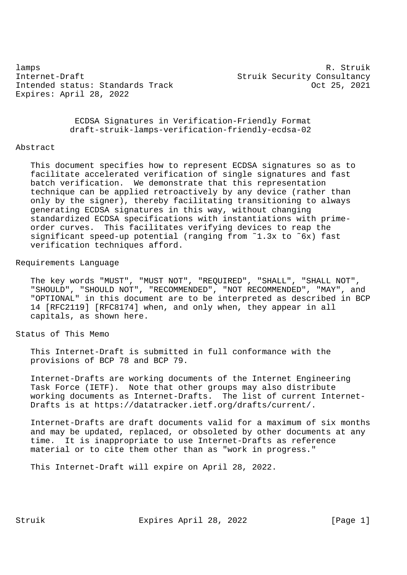lamps R. Struik (1999) and the set of the set of the set of the set of the set of the set of the set of the set of the set of the set of the set of the set of the set of the set of the set of the set of the set of the set Internet-Draft Struik Security Consultancy Intended status: Standards Track Contract Communications of 25, 2021 Expires: April 28, 2022

 ECDSA Signatures in Verification-Friendly Format draft-struik-lamps-verification-friendly-ecdsa-02

#### Abstract

 This document specifies how to represent ECDSA signatures so as to facilitate accelerated verification of single signatures and fast batch verification. We demonstrate that this representation technique can be applied retroactively by any device (rather than only by the signer), thereby facilitating transitioning to always generating ECDSA signatures in this way, without changing standardized ECDSA specifications with instantiations with prime order curves. This facilitates verifying devices to reap the significant speed-up potential (ranging from ˜1.3x to ˜6x) fast verification techniques afford.

#### Requirements Language

 The key words "MUST", "MUST NOT", "REQUIRED", "SHALL", "SHALL NOT", "SHOULD", "SHOULD NOT", "RECOMMENDED", "NOT RECOMMENDED", "MAY", and "OPTIONAL" in this document are to be interpreted as described in BCP 14 [RFC2119] [RFC8174] when, and only when, they appear in all capitals, as shown here.

# Status of This Memo

 This Internet-Draft is submitted in full conformance with the provisions of BCP 78 and BCP 79.

 Internet-Drafts are working documents of the Internet Engineering Task Force (IETF). Note that other groups may also distribute working documents as Internet-Drafts. The list of current Internet- Drafts is at https://datatracker.ietf.org/drafts/current/.

 Internet-Drafts are draft documents valid for a maximum of six months and may be updated, replaced, or obsoleted by other documents at any time. It is inappropriate to use Internet-Drafts as reference material or to cite them other than as "work in progress."

This Internet-Draft will expire on April 28, 2022.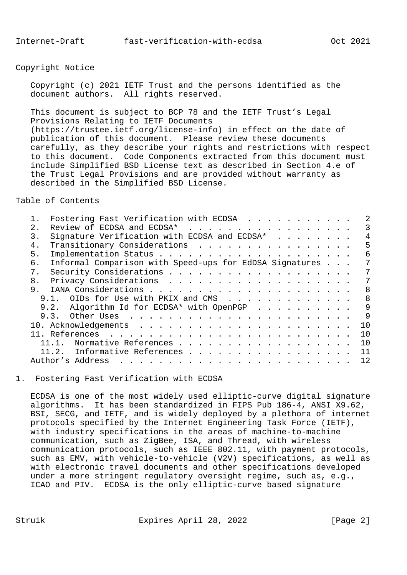Copyright Notice

 Copyright (c) 2021 IETF Trust and the persons identified as the document authors. All rights reserved.

 This document is subject to BCP 78 and the IETF Trust's Legal Provisions Relating to IETF Documents (https://trustee.ietf.org/license-info) in effect on the date of publication of this document. Please review these documents carefully, as they describe your rights and restrictions with respect to this document. Code Components extracted from this document must include Simplified BSD License text as described in Section 4.e of the Trust Legal Provisions and are provided without warranty as described in the Simplified BSD License.

Table of Contents

|    | Fostering Fast Verification with ECDSA                  |     |
|----|---------------------------------------------------------|-----|
| 2. | Review of ECDSA and ECDSA*                              | 3   |
| 3. | Signature Verification with ECDSA and ECDSA*            | 4   |
| 4. | Transitionary Considerations                            | 5   |
| 5. |                                                         | 6   |
| б. | Informal Comparison with Speed-ups for EdDSA Signatures | 7   |
| 7. |                                                         | 7   |
| 8. |                                                         | 7   |
| 9. |                                                         | 8   |
|    | OIDs for Use with PKIX and CMS<br>9.1 <sub>1</sub>      | 8   |
|    | 9.2. Algorithm Id for ECDSA* with OpenPGP               | 9   |
|    |                                                         | 9   |
|    |                                                         | 1 O |
|    |                                                         | 1 Q |
|    | Normative References                                    | 1 Q |
|    | Informative References<br>11.2.                         | 11  |
|    | Author's Address                                        | 12. |
|    |                                                         |     |

1. Fostering Fast Verification with ECDSA

 ECDSA is one of the most widely used elliptic-curve digital signature algorithms. It has been standardized in FIPS Pub 186-4, ANSI X9.62, BSI, SECG, and IETF, and is widely deployed by a plethora of internet protocols specified by the Internet Engineering Task Force (IETF), with industry specifications in the areas of machine-to-machine communication, such as ZigBee, ISA, and Thread, with wireless communication protocols, such as IEEE 802.11, with payment protocols, such as EMV, with vehicle-to-vehicle (V2V) specifications, as well as with electronic travel documents and other specifications developed under a more stringent regulatory oversight regime, such as, e.g., ICAO and PIV. ECDSA is the only elliptic-curve based signature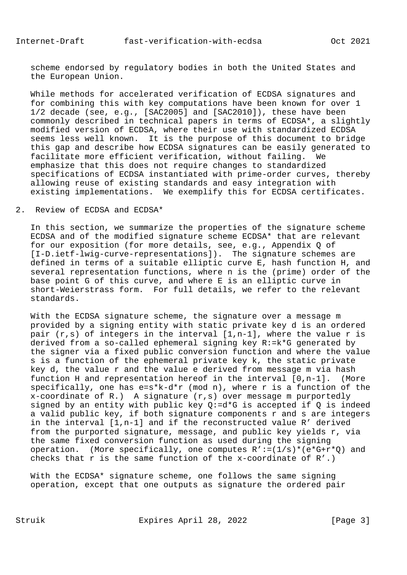scheme endorsed by regulatory bodies in both the United States and the European Union.

 While methods for accelerated verification of ECDSA signatures and for combining this with key computations have been known for over 1 1/2 decade (see, e.g., [SAC2005] and [SAC2010]), these have been commonly described in technical papers in terms of ECDSA\*, a slightly modified version of ECDSA, where their use with standardized ECDSA seems less well known. It is the purpose of this document to bridge this gap and describe how ECDSA signatures can be easily generated to facilitate more efficient verification, without failing. We emphasize that this does not require changes to standardized specifications of ECDSA instantiated with prime-order curves, thereby allowing reuse of existing standards and easy integration with existing implementations. We exemplify this for ECDSA certificates.

### 2. Review of ECDSA and ECDSA\*

 In this section, we summarize the properties of the signature scheme ECDSA and of the modified signature scheme ECDSA\* that are relevant for our exposition (for more details, see, e.g., Appendix Q of [I-D.ietf-lwig-curve-representations]). The signature schemes are defined in terms of a suitable elliptic curve E, hash function H, and several representation functions, where n is the (prime) order of the base point G of this curve, and where E is an elliptic curve in short-Weierstrass form. For full details, we refer to the relevant standards.

 With the ECDSA signature scheme, the signature over a message m provided by a signing entity with static private key d is an ordered pair  $(r,s)$  of integers in the interval  $[1,n-1]$ , where the value r is derived from a so-called ephemeral signing key R:=k\*G generated by the signer via a fixed public conversion function and where the value s is a function of the ephemeral private key k, the static private key d, the value r and the value e derived from message m via hash function H and representation hereof in the interval [0,n-1]. (More specifically, one has  $e=s*k-d*r$  (mod n), where r is a function of the  $x$ -coordinate of R.) A signature  $(r, s)$  over message m purportedly signed by an entity with public key  $Q:=d*G$  is accepted if  $Q$  is indeed a valid public key, if both signature components r and s are integers in the interval [1,n-1] and if the reconstructed value R' derived from the purported signature, message, and public key yields r, via the same fixed conversion function as used during the signing operation. (More specifically, one computes  $R' := (1/s) * (e * G + r * Q)$  and checks that r is the same function of the x-coordinate of  $R'$ .)

With the ECDSA\* signature scheme, one follows the same signing operation, except that one outputs as signature the ordered pair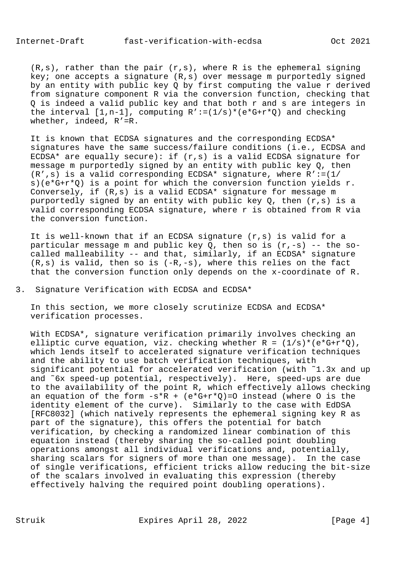$(R,s)$ , rather than the pair  $(r,s)$ , where R is the ephemeral signing key; one accepts a signature (R,s) over message m purportedly signed by an entity with public key Q by first computing the value r derived from signature component R via the conversion function, checking that Q is indeed a valid public key and that both r and s are integers in the interval  $[1,n-1]$ , computing  $R' := (1/s) * (e * G + r * Q)$  and checking whether, indeed, R'=R.

 It is known that ECDSA signatures and the corresponding ECDSA\* signatures have the same success/failure conditions (i.e., ECDSA and ECDSA\* are equally secure): if (r,s) is a valid ECDSA signature for message m purportedly signed by an entity with public key Q, then  $(R', s)$  is a valid corresponding ECDSA\* signature, where  $R' := (1/2)^2$  s)(e\*G+r\*Q) is a point for which the conversion function yields r. Conversely, if (R,s) is a valid ECDSA\* signature for message m purportedly signed by an entity with public key  $0$ , then  $(r,s)$  is a valid corresponding ECDSA signature, where r is obtained from R via the conversion function.

 It is well-known that if an ECDSA signature (r,s) is valid for a particular message m and public key  $Q$ , then so is  $(r,-s)$  -- the so called malleability -- and that, similarly, if an ECDSA\* signature  $(R,s)$  is valid, then so is  $(-R,-s)$ , where this relies on the fact that the conversion function only depends on the x-coordinate of R.

3. Signature Verification with ECDSA and ECDSA\*

 In this section, we more closely scrutinize ECDSA and ECDSA\* verification processes.

 With ECDSA\*, signature verification primarily involves checking an elliptic curve equation, viz. checking whether  $R = (1/s) * (e * G + r * Q)$ , which lends itself to accelerated signature verification techniques and the ability to use batch verification techniques, with significant potential for accelerated verification (with ˜1.3x and up and ˜6x speed-up potential, respectively). Here, speed-ups are due to the availability of the point R, which effectively allows checking an equation of the form  $-s*R$  +  $(e*G+r*Q)=0$  instead (where 0 is the identity element of the curve). Similarly to the case with EdDSA [RFC8032] (which natively represents the ephemeral signing key R as part of the signature), this offers the potential for batch verification, by checking a randomized linear combination of this equation instead (thereby sharing the so-called point doubling operations amongst all individual verifications and, potentially, sharing scalars for signers of more than one message). In the case of single verifications, efficient tricks allow reducing the bit-size of the scalars involved in evaluating this expression (thereby effectively halving the required point doubling operations).

Struik Expires April 28, 2022 [Page 4]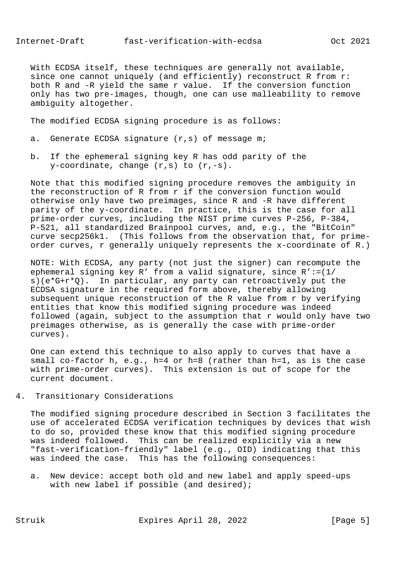With ECDSA itself, these techniques are generally not available, since one cannot uniquely (and efficiently) reconstruct R from r: both R and -R yield the same r value. If the conversion function only has two pre-images, though, one can use malleability to remove ambiguity altogether.

The modified ECDSA signing procedure is as follows:

- a. Generate ECDSA signature (r,s) of message m;
- b. If the ephemeral signing key R has odd parity of the  $y$ -coordinate, change  $(r,s)$  to  $(r,-s)$ .

 Note that this modified signing procedure removes the ambiguity in the reconstruction of R from r if the conversion function would otherwise only have two preimages, since R and -R have different parity of the y-coordinate. In practice, this is the case for all prime-order curves, including the NIST prime curves P-256, P-384, P-521, all standardized Brainpool curves, and, e.g., the "BitCoin" curve secp256k1. (This follows from the observation that, for prime order curves, r generally uniquely represents the x-coordinate of R.)

 NOTE: With ECDSA, any party (not just the signer) can recompute the ephemeral signing key R' from a valid signature, since R':=(1/ s)(e\*G+r\*Q). In particular, any party can retroactively put the ECDSA signature in the required form above, thereby allowing subsequent unique reconstruction of the R value from r by verifying entities that know this modified signing procedure was indeed followed (again, subject to the assumption that r would only have two preimages otherwise, as is generally the case with prime-order curves).

 One can extend this technique to also apply to curves that have a small co-factor h, e.g., h=4 or h=8 (rather than h=1, as is the case with prime-order curves). This extension is out of scope for the current document.

4. Transitionary Considerations

 The modified signing procedure described in Section 3 facilitates the use of accelerated ECDSA verification techniques by devices that wish to do so, provided these know that this modified signing procedure was indeed followed. This can be realized explicitly via a new "fast-verification-friendly" label (e.g., OID) indicating that this was indeed the case. This has the following consequences:

 a. New device: accept both old and new label and apply speed-ups with new label if possible (and desired);

Struik Expires April 28, 2022 [Page 5]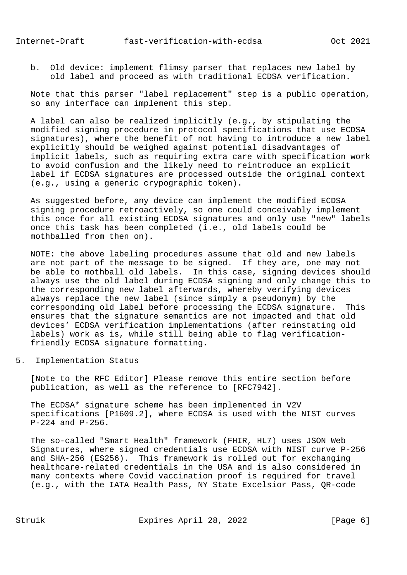b. Old device: implement flimsy parser that replaces new label by old label and proceed as with traditional ECDSA verification.

 Note that this parser "label replacement" step is a public operation, so any interface can implement this step.

 A label can also be realized implicitly (e.g., by stipulating the modified signing procedure in protocol specifications that use ECDSA signatures), where the benefit of not having to introduce a new label explicitly should be weighed against potential disadvantages of implicit labels, such as requiring extra care with specification work to avoid confusion and the likely need to reintroduce an explicit label if ECDSA signatures are processed outside the original context (e.g., using a generic crypographic token).

 As suggested before, any device can implement the modified ECDSA signing procedure retroactively, so one could conceivably implement this once for all existing ECDSA signatures and only use "new" labels once this task has been completed (i.e., old labels could be mothballed from then on).

 NOTE: the above labeling procedures assume that old and new labels are not part of the message to be signed. If they are, one may not be able to mothball old labels. In this case, signing devices should always use the old label during ECDSA signing and only change this to the corresponding new label afterwards, whereby verifying devices always replace the new label (since simply a pseudonym) by the corresponding old label before processing the ECDSA signature. This ensures that the signature semantics are not impacted and that old devices' ECDSA verification implementations (after reinstating old labels) work as is, while still being able to flag verification friendly ECDSA signature formatting.

5. Implementation Status

 [Note to the RFC Editor] Please remove this entire section before publication, as well as the reference to [RFC7942].

 The ECDSA\* signature scheme has been implemented in V2V specifications [P1609.2], where ECDSA is used with the NIST curves P-224 and P-256.

 The so-called "Smart Health" framework (FHIR, HL7) uses JSON Web Signatures, where signed credentials use ECDSA with NIST curve P-256 and SHA-256 (ES256). This framework is rolled out for exchanging healthcare-related credentials in the USA and is also considered in many contexts where Covid vaccination proof is required for travel (e.g., with the IATA Health Pass, NY State Excelsior Pass, QR-code

Struik Expires April 28, 2022 [Page 6]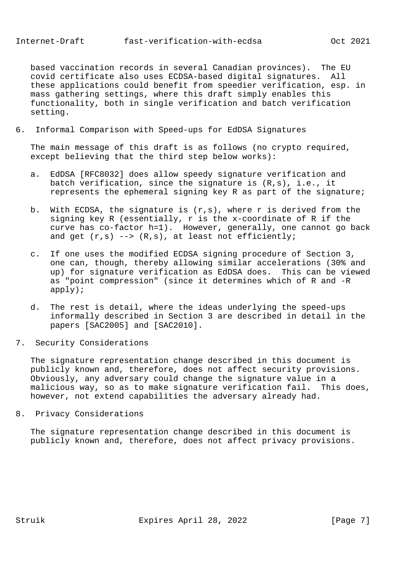based vaccination records in several Canadian provinces). The EU covid certificate also uses ECDSA-based digital signatures. All these applications could benefit from speedier verification, esp. in mass gathering settings, where this draft simply enables this functionality, both in single verification and batch verification setting.

6. Informal Comparison with Speed-ups for EdDSA Signatures

 The main message of this draft is as follows (no crypto required, except believing that the third step below works):

- a. EdDSA [RFC8032] does allow speedy signature verification and batch verification, since the signature is (R,s), i.e., it represents the ephemeral signing key R as part of the signature;
- b. With ECDSA, the signature is (r,s), where r is derived from the signing key R (essentially, r is the x-coordinate of R if the curve has co-factor h=1). However, generally, one cannot go back and get  $(r,s)$  -->  $(R,s)$ , at least not efficiently;
- c. If one uses the modified ECDSA signing procedure of Section 3, one can, though, thereby allowing similar accelerations (30% and up) for signature verification as EdDSA does. This can be viewed as "point compression" (since it determines which of R and -R apply);
- d. The rest is detail, where the ideas underlying the speed-ups informally described in Section 3 are described in detail in the papers [SAC2005] and [SAC2010].
- 7. Security Considerations

 The signature representation change described in this document is publicly known and, therefore, does not affect security provisions. Obviously, any adversary could change the signature value in a malicious way, so as to make signature verification fail. This does, however, not extend capabilities the adversary already had.

8. Privacy Considerations

 The signature representation change described in this document is publicly known and, therefore, does not affect privacy provisions.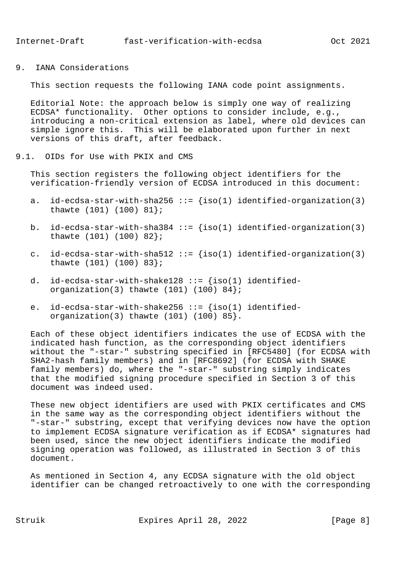9. IANA Considerations

This section requests the following IANA code point assignments.

 Editorial Note: the approach below is simply one way of realizing ECDSA\* functionality. Other options to consider include, e.g., introducing a non-critical extension as label, where old devices can simple ignore this. This will be elaborated upon further in next versions of this draft, after feedback.

### 9.1. OIDs for Use with PKIX and CMS

 This section registers the following object identifiers for the verification-friendly version of ECDSA introduced in this document:

- a. id-ecdsa-star-with-sha256 ::=  $\{iso(1)$  identified-organization(3) thawte (101) (100) 81};
- b. id-ecdsa-star-with-sha384 ::=  $\{iso(1)$  identified-organization(3) thawte (101) (100) 82};
- c. id-ecdsa-star-with-sha512 ::=  $\{iso(1)$  identified-organization(3) thawte (101) (100) 83};
- d. id-ecdsa-star-with-shake128 ::=  $\{iso(1)$  identifiedorganization(3) thawte  $(101)$   $(100)$   $84$ ;
- e.  $id$ -ecdsa-star-with-shake256 ::=  ${iso(1)}$  identifiedorganization(3) thawte (101) (100) 85}.

 Each of these object identifiers indicates the use of ECDSA with the indicated hash function, as the corresponding object identifiers without the "-star-" substring specified in [RFC5480] (for ECDSA with SHA2-hash family members) and in [RFC8692] (for ECDSA with SHAKE family members) do, where the "-star-" substring simply indicates that the modified signing procedure specified in Section 3 of this document was indeed used.

 These new object identifiers are used with PKIX certificates and CMS in the same way as the corresponding object identifiers without the "-star-" substring, except that verifying devices now have the option to implement ECDSA signature verification as if ECDSA\* signatures had been used, since the new object identifiers indicate the modified signing operation was followed, as illustrated in Section 3 of this document.

 As mentioned in Section 4, any ECDSA signature with the old object identifier can be changed retroactively to one with the corresponding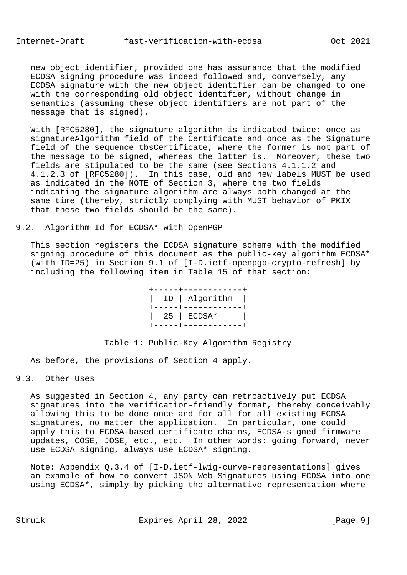new object identifier, provided one has assurance that the modified ECDSA signing procedure was indeed followed and, conversely, any ECDSA signature with the new object identifier can be changed to one with the corresponding old object identifier, without change in semantics (assuming these object identifiers are not part of the message that is signed).

 With [RFC5280], the signature algorithm is indicated twice: once as signatureAlgorithm field of the Certificate and once as the Signature field of the sequence tbsCertificate, where the former is not part of the message to be signed, whereas the latter is. Moreover, these two fields are stipulated to be the same (see Sections 4.1.1.2 and 4.1.2.3 of [RFC5280]). In this case, old and new labels MUST be used as indicated in the NOTE of Section 3, where the two fields indicating the signature algorithm are always both changed at the same time (thereby, strictly complying with MUST behavior of PKIX that these two fields should be the same).

## 9.2. Algorithm Id for ECDSA\* with OpenPGP

 This section registers the ECDSA signature scheme with the modified signing procedure of this document as the public-key algorithm ECDSA\* (with ID=25) in Section 9.1 of [I-D.ietf-openpgp-crypto-refresh] by including the following item in Table 15 of that section:

> +-----+------------+ | ID | Algorithm | +-----+------------+ | 25 | ECDSA\* | +-----+------------+

## Table 1: Public-Key Algorithm Registry

As before, the provisions of Section 4 apply.

# 9.3. Other Uses

 As suggested in Section 4, any party can retroactively put ECDSA signatures into the verification-friendly format, thereby conceivably allowing this to be done once and for all for all existing ECDSA signatures, no matter the application. In particular, one could apply this to ECDSA-based certificate chains, ECDSA-signed firmware updates, COSE, JOSE, etc., etc. In other words: going forward, never use ECDSA signing, always use ECDSA\* signing.

 Note: Appendix Q.3.4 of [I-D.ietf-lwig-curve-representations] gives an example of how to convert JSON Web Signatures using ECDSA into one using ECDSA\*, simply by picking the alternative representation where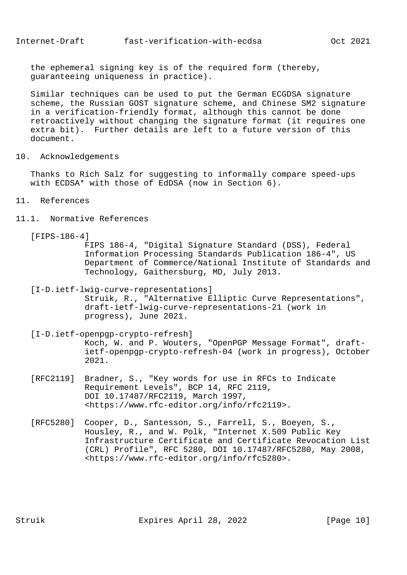the ephemeral signing key is of the required form (thereby, guaranteeing uniqueness in practice).

 Similar techniques can be used to put the German ECGDSA signature scheme, the Russian GOST signature scheme, and Chinese SM2 signature in a verification-friendly format, although this cannot be done retroactively without changing the signature format (it requires one extra bit). Further details are left to a future version of this document.

10. Acknowledgements

 Thanks to Rich Salz for suggesting to informally compare speed-ups with ECDSA\* with those of EdDSA (now in Section 6).

- 11. References
- 11.1. Normative References

[FIPS-186-4]

 FIPS 186-4, "Digital Signature Standard (DSS), Federal Information Processing Standards Publication 186-4", US Department of Commerce/National Institute of Standards and Technology, Gaithersburg, MD, July 2013.

 [I-D.ietf-lwig-curve-representations] Struik, R., "Alternative Elliptic Curve Representations", draft-ietf-lwig-curve-representations-21 (work in

progress), June 2021.

 [I-D.ietf-openpgp-crypto-refresh] Koch, W. and P. Wouters, "OpenPGP Message Format", draft ietf-openpgp-crypto-refresh-04 (work in progress), October 2021.

- [RFC2119] Bradner, S., "Key words for use in RFCs to Indicate Requirement Levels", BCP 14, RFC 2119, DOI 10.17487/RFC2119, March 1997, <https://www.rfc-editor.org/info/rfc2119>.
- [RFC5280] Cooper, D., Santesson, S., Farrell, S., Boeyen, S., Housley, R., and W. Polk, "Internet X.509 Public Key Infrastructure Certificate and Certificate Revocation List (CRL) Profile", RFC 5280, DOI 10.17487/RFC5280, May 2008, <https://www.rfc-editor.org/info/rfc5280>.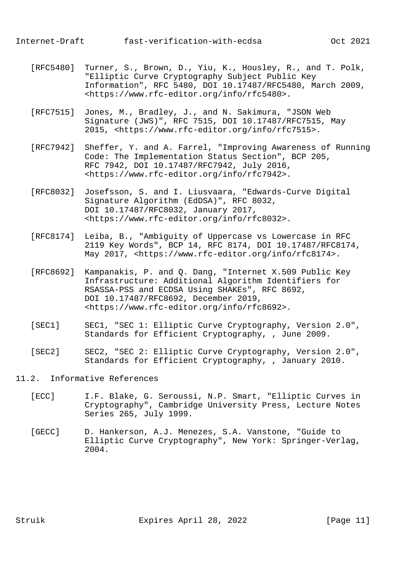- [RFC5480] Turner, S., Brown, D., Yiu, K., Housley, R., and T. Polk, "Elliptic Curve Cryptography Subject Public Key Information", RFC 5480, DOI 10.17487/RFC5480, March 2009, <https://www.rfc-editor.org/info/rfc5480>.
- [RFC7515] Jones, M., Bradley, J., and N. Sakimura, "JSON Web Signature (JWS)", RFC 7515, DOI 10.17487/RFC7515, May 2015, <https://www.rfc-editor.org/info/rfc7515>.
- [RFC7942] Sheffer, Y. and A. Farrel, "Improving Awareness of Running Code: The Implementation Status Section", BCP 205, RFC 7942, DOI 10.17487/RFC7942, July 2016, <https://www.rfc-editor.org/info/rfc7942>.
- [RFC8032] Josefsson, S. and I. Liusvaara, "Edwards-Curve Digital Signature Algorithm (EdDSA)", RFC 8032, DOI 10.17487/RFC8032, January 2017, <https://www.rfc-editor.org/info/rfc8032>.
- [RFC8174] Leiba, B., "Ambiguity of Uppercase vs Lowercase in RFC 2119 Key Words", BCP 14, RFC 8174, DOI 10.17487/RFC8174, May 2017, <https://www.rfc-editor.org/info/rfc8174>.
- [RFC8692] Kampanakis, P. and Q. Dang, "Internet X.509 Public Key Infrastructure: Additional Algorithm Identifiers for RSASSA-PSS and ECDSA Using SHAKEs", RFC 8692, DOI 10.17487/RFC8692, December 2019, <https://www.rfc-editor.org/info/rfc8692>.
- [SEC1] SEC1, "SEC 1: Elliptic Curve Cryptography, Version 2.0", Standards for Efficient Cryptography, , June 2009.
- [SEC2] SEC2, "SEC 2: Elliptic Curve Cryptography, Version 2.0", Standards for Efficient Cryptography, , January 2010.

# 11.2. Informative References

- [ECC] I.F. Blake, G. Seroussi, N.P. Smart, "Elliptic Curves in Cryptography", Cambridge University Press, Lecture Notes Series 265, July 1999.
- [GECC] D. Hankerson, A.J. Menezes, S.A. Vanstone, "Guide to Elliptic Curve Cryptography", New York: Springer-Verlag, 2004.